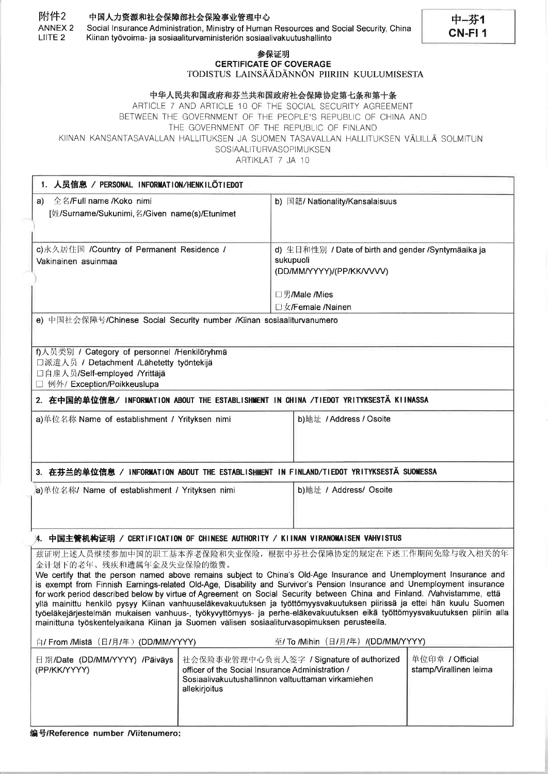## 附件2 中国人力资源和社会保障部社会保险事业管理中心

ANNEX<sub>2</sub> Social Insurance Administration, Ministry of Human Resources and Social Security, China LIITE<sub>2</sub> Kiinan työvoima- ja sosiaaliturvaministeriön sosiaalivakuutushallinto

## 参保证明 **CERTIFICATE OF COVERAGE** TODISTUS LAINSÄÄDÄNNÖN PIIRIIN KUULUMISESTA

中-芬1

CN-FI<sub>1</sub>

## 中华人民共和国政府和芬兰共和国政府社会保障协定第七条和第十条

ARTICLE 7 AND ARTICLE 10 OF THE SOCIAL SECURITY AGREEMENT BETWEEN THE GOVERNMENT OF THE PEOPLE'S REPUBLIC OF CHINA AND THE GOVERNMENT OF THE REPUBLIC OF FINLAND KIINAN KANSANTASAVALLAN HALLITUKSEN JA SUOMEN TASAVALLAN HALLITUKSEN VÄLILLÄ SOLMITUN SOSIAALITURVASOPIMUKSEN

ARTIKLAT 7 JA 10

| 1. 人员信息 / PERSONAL INFORMATION/HENKILÖTIEDOT                                                                                                                                                                                                                                                                                                                                                                                                                                                                                                                                                                                                                                                                                                                                                                          |               |                                                                                                                                                                                                  |  |  |  |  |
|-----------------------------------------------------------------------------------------------------------------------------------------------------------------------------------------------------------------------------------------------------------------------------------------------------------------------------------------------------------------------------------------------------------------------------------------------------------------------------------------------------------------------------------------------------------------------------------------------------------------------------------------------------------------------------------------------------------------------------------------------------------------------------------------------------------------------|---------------|--------------------------------------------------------------------------------------------------------------------------------------------------------------------------------------------------|--|--|--|--|
| a) 全名/Full name /Koko nimi<br>[姓/Surname/Sukunimi,名/Given name(s)/Etunimet                                                                                                                                                                                                                                                                                                                                                                                                                                                                                                                                                                                                                                                                                                                                            |               | b) 国籍/ Nationality/Kansalaisuus                                                                                                                                                                  |  |  |  |  |
| c) 永久居住国 / Country of Permanent Residence /<br>Vakinainen asuinmaa                                                                                                                                                                                                                                                                                                                                                                                                                                                                                                                                                                                                                                                                                                                                                    |               | d) 生日和性别 / Date of birth and gender /Syntymäaika ja<br>sukupuoli<br>(DD/MM/YYYY)/(PP/KK/VVV)<br>□男/Male /Mies                                                                                    |  |  |  |  |
| □女/Female /Nainen<br>e) 中国社会保障号/Chinese Social Security number /Kiinan sosiaaliturvanumero                                                                                                                                                                                                                                                                                                                                                                                                                                                                                                                                                                                                                                                                                                                            |               |                                                                                                                                                                                                  |  |  |  |  |
| f)人员类别 / Category of personnel /Henkilöryhmä<br>□派遣人员 / Detachment /Lähetetty työntekijä<br>口自雇人员/Self-employed /Yrittäjä<br>例外/ Exception/Poikkeuslupa                                                                                                                                                                                                                                                                                                                                                                                                                                                                                                                                                                                                                                                               |               |                                                                                                                                                                                                  |  |  |  |  |
| 2. 在中国的单位信息/ INFORMATION ABOUT THE ESTABLISHMENT IN CHINA /TIEDOT YRITYKSESTÄ KIINASSA                                                                                                                                                                                                                                                                                                                                                                                                                                                                                                                                                                                                                                                                                                                                |               |                                                                                                                                                                                                  |  |  |  |  |
| a)单位名称 Name of establishment / Yrityksen nimi                                                                                                                                                                                                                                                                                                                                                                                                                                                                                                                                                                                                                                                                                                                                                                         |               | b)地址 / Address / Osoite                                                                                                                                                                          |  |  |  |  |
| 3. 在芬兰的单位信息 / INFORMATION ABOUT THE ESTABLISHMENT IN FINLAND/TIEDOT YRITYKSESTÄ SUOMESSA                                                                                                                                                                                                                                                                                                                                                                                                                                                                                                                                                                                                                                                                                                                              |               |                                                                                                                                                                                                  |  |  |  |  |
| a)单位名称/ Name of establishment / Yrityksen nimi                                                                                                                                                                                                                                                                                                                                                                                                                                                                                                                                                                                                                                                                                                                                                                        |               | b)地址 / Address/ Osoite                                                                                                                                                                           |  |  |  |  |
| 4. 中国主管机构证明 / CERTIFICATION OF CHINESE AUTHORITY / KIINAN VIRANOMAISEN VAHVISTUS                                                                                                                                                                                                                                                                                                                                                                                                                                                                                                                                                                                                                                                                                                                                      |               |                                                                                                                                                                                                  |  |  |  |  |
| 兹证明上述人员继续参加中国的职工基本养老保险和失业保险,根据中芬社会保障协定的规定在下述工作期间免除与收入相关的年<br>金计划下的老年、残疾和遗属年金及失业保险的缴费。<br>We certify that the person named above remains subject to China's Old-Age Insurance and Unemployment Insurance and<br>is exempt from Finnish Earnings-related Old-Age, Disability and Survivor's Pension Insurance and Unemployment insurance<br>for work period described below by virtue of Agreement on Social Security between China and Finland. Nahvistamme, että<br>yllä mainittu henkilö pysyy Kiinan vanhuuseläkevakuutuksen ja työttömyysvakuutuksen piirissä ja ettei hän kuulu Suomen<br>työeläkejärjestelmän mukaisen vanhuus-, työkyvyttömyys- ja perhe-eläkevakuutuksen eikä työttömyysvakuutuksen piiriin alla<br>mainittuna työskentelyaikana Kiinan ja Suomen välisen sosiaaliturvasopimuksen perusteella. |               |                                                                                                                                                                                                  |  |  |  |  |
| 白/ From /Mistä (日/月/年) (DD/MM/YYYY)                                                                                                                                                                                                                                                                                                                                                                                                                                                                                                                                                                                                                                                                                                                                                                                   |               | 至/ To /Mihin (日/月/年) /(DD/MM/YYYY)                                                                                                                                                               |  |  |  |  |
| 日期/Date (DD/MM/YYYY) /Päiväys<br>(PP/KK/YYYY)                                                                                                                                                                                                                                                                                                                                                                                                                                                                                                                                                                                                                                                                                                                                                                         | allekirjoitus | 单位印章 / Official<br>社会保险事业管理中心负责人签字 / Signature of authorized<br>stamp/Virallinen leima<br>officer of the Social Insurance Administration /<br>Sosiaalivakuutushallinnon valtuuttaman virkamiehen |  |  |  |  |

编号/Reference number /Viitenumero: